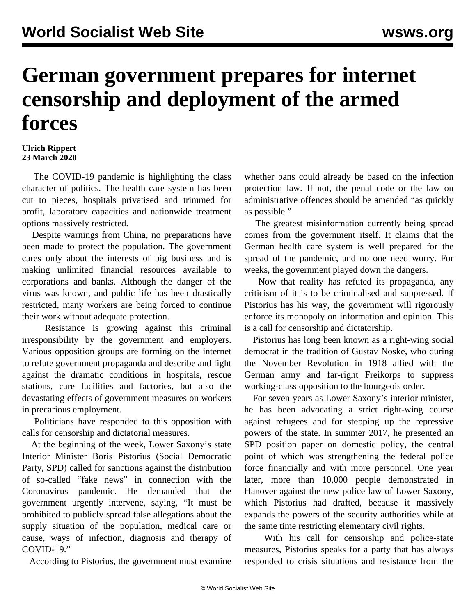## **German government prepares for internet censorship and deployment of the armed forces**

## **Ulrich Rippert 23 March 2020**

 The COVID-19 pandemic is highlighting the class character of politics. The health care system has been cut to pieces, hospitals privatised and trimmed for profit, laboratory capacities and nationwide treatment options massively restricted.

 Despite warnings from China, no preparations have been made to protect the population. The government cares only about the interests of big business and is making unlimited financial resources available to corporations and banks. Although the danger of the virus was known, and public life has been drastically restricted, many workers are being forced to continue their work without adequate protection.

 Resistance is growing against this criminal irresponsibility by the government and employers. Various opposition groups are forming on the internet to refute government propaganda and describe and fight against the dramatic conditions in hospitals, rescue stations, care facilities and factories, but also the devastating effects of government measures on workers in precarious employment.

 Politicians have responded to this opposition with calls for censorship and dictatorial measures.

 At the beginning of the week, Lower Saxony's state Interior Minister Boris Pistorius (Social Democratic Party, SPD) called for sanctions against the distribution of so-called "fake news" in connection with the Coronavirus pandemic. He demanded that the government urgently intervene, saying, "It must be prohibited to publicly spread false allegations about the supply situation of the population, medical care or cause, ways of infection, diagnosis and therapy of COVID-19."

According to Pistorius, the government must examine

whether bans could already be based on the infection protection law. If not, the penal code or the law on administrative offences should be amended "as quickly as possible."

 The greatest misinformation currently being spread comes from the government itself. It claims that the German health care system is well prepared for the spread of the pandemic, and no one need worry. For weeks, the government played down the dangers.

 Now that reality has refuted its propaganda, any criticism of it is to be criminalised and suppressed. If Pistorius has his way, the government will rigorously enforce its monopoly on information and opinion. This is a call for censorship and dictatorship.

 Pistorius has long been known as a right-wing social democrat in the tradition of Gustav Noske, who during the November Revolution in 1918 allied with the German army and far-right Freikorps to suppress working-class opposition to the bourgeois order.

 For seven years as Lower Saxony's interior minister, he has been advocating a strict right-wing course against refugees and for stepping up the repressive powers of the state. In summer 2017, he presented an SPD position paper on domestic policy, the central point of which was strengthening the federal police force financially and with more personnel. One year later, more than 10,000 people demonstrated in Hanover against the new police law of Lower Saxony, which Pistorius had drafted, because it massively expands the powers of the security authorities while at the same time restricting elementary civil rights.

 With his call for censorship and police-state measures, Pistorius speaks for a party that has always responded to crisis situations and resistance from the